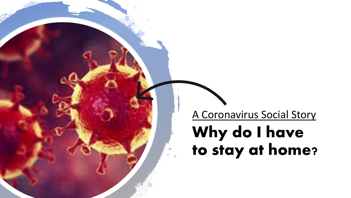A Coronavirus Social Story

## **Why do I have to stay at home?**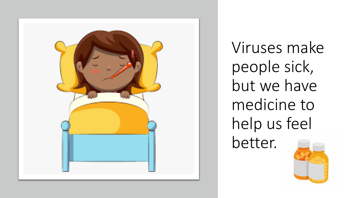

Viruses make people sick, but we have medicine to help us feel

better.

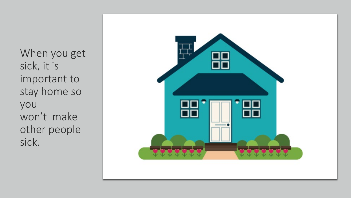When you get sick, it is important to stay home so you won't make other people sick.

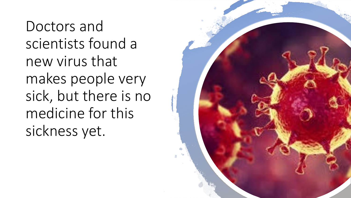Doctors and scientists found a new virus that makes people very sick, but there is no medicine for this sickness yet.

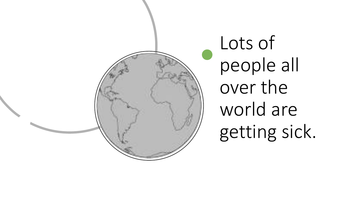

Lots of people all over the world are getting sick.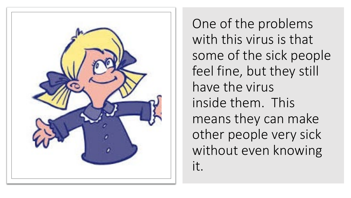

One of the problems with this virus is that some of the sick people feel fine, but they still have the virus inside them. This means they can make other people very sick without even knowing it.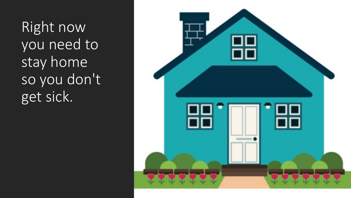Right now you need to stay home so you don't get sick.

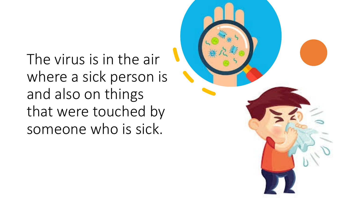The virus is in the air where a sick person is and also on things that were touched by someone who is sick.

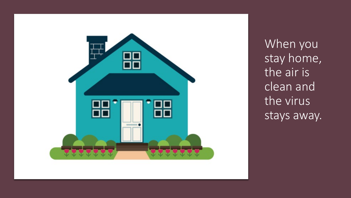

When you stay home, the air is clean and the virus stays away.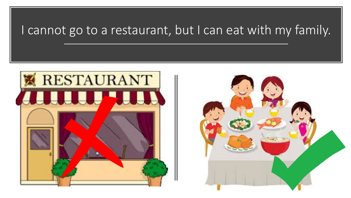## I cannot go to a restaurant, but I can eat with my family.



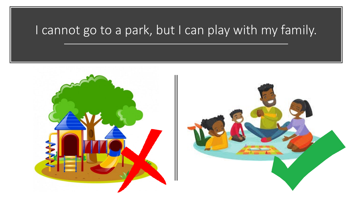## I cannot go to a park, but I can play with my family.